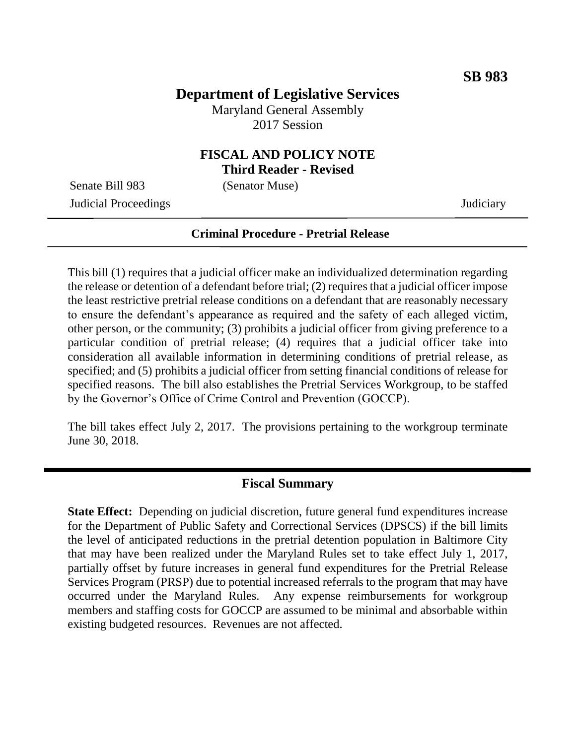## **Department of Legislative Services**

Maryland General Assembly 2017 Session

#### **FISCAL AND POLICY NOTE Third Reader - Revised**

Senate Bill 983 (Senator Muse)

Judicial Proceedings Judiciary

#### **Criminal Procedure - Pretrial Release**

This bill (1) requires that a judicial officer make an individualized determination regarding the release or detention of a defendant before trial; (2) requires that a judicial officer impose the least restrictive pretrial release conditions on a defendant that are reasonably necessary to ensure the defendant's appearance as required and the safety of each alleged victim, other person, or the community; (3) prohibits a judicial officer from giving preference to a particular condition of pretrial release; (4) requires that a judicial officer take into consideration all available information in determining conditions of pretrial release, as specified; and (5) prohibits a judicial officer from setting financial conditions of release for specified reasons. The bill also establishes the Pretrial Services Workgroup, to be staffed by the Governor's Office of Crime Control and Prevention (GOCCP).

The bill takes effect July 2, 2017. The provisions pertaining to the workgroup terminate June 30, 2018.

#### **Fiscal Summary**

**State Effect:** Depending on judicial discretion, future general fund expenditures increase for the Department of Public Safety and Correctional Services (DPSCS) if the bill limits the level of anticipated reductions in the pretrial detention population in Baltimore City that may have been realized under the Maryland Rules set to take effect July 1, 2017, partially offset by future increases in general fund expenditures for the Pretrial Release Services Program (PRSP) due to potential increased referrals to the program that may have occurred under the Maryland Rules. Any expense reimbursements for workgroup members and staffing costs for GOCCP are assumed to be minimal and absorbable within existing budgeted resources. Revenues are not affected.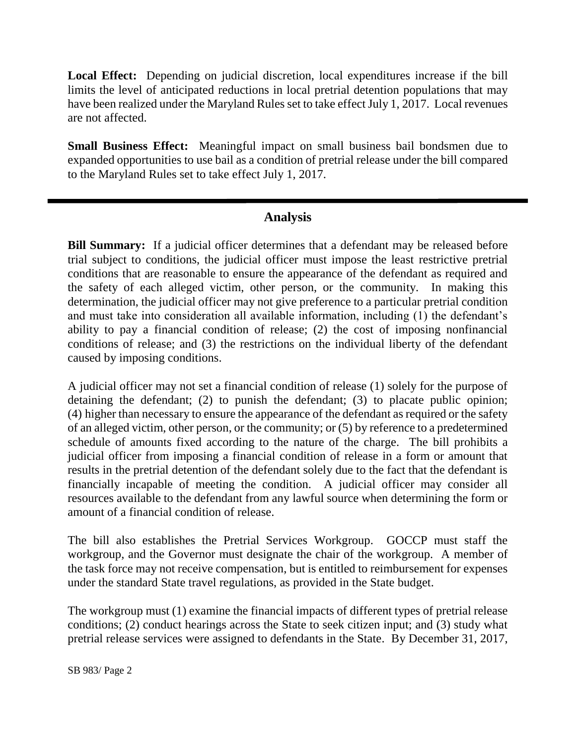**Local Effect:** Depending on judicial discretion, local expenditures increase if the bill limits the level of anticipated reductions in local pretrial detention populations that may have been realized under the Maryland Rules set to take effect July 1, 2017. Local revenues are not affected.

**Small Business Effect:** Meaningful impact on small business bail bondsmen due to expanded opportunities to use bail as a condition of pretrial release under the bill compared to the Maryland Rules set to take effect July 1, 2017.

### **Analysis**

**Bill Summary:** If a judicial officer determines that a defendant may be released before trial subject to conditions, the judicial officer must impose the least restrictive pretrial conditions that are reasonable to ensure the appearance of the defendant as required and the safety of each alleged victim, other person, or the community. In making this determination, the judicial officer may not give preference to a particular pretrial condition and must take into consideration all available information, including (1) the defendant's ability to pay a financial condition of release; (2) the cost of imposing nonfinancial conditions of release; and (3) the restrictions on the individual liberty of the defendant caused by imposing conditions.

A judicial officer may not set a financial condition of release (1) solely for the purpose of detaining the defendant; (2) to punish the defendant; (3) to placate public opinion; (4) higher than necessary to ensure the appearance of the defendant as required or the safety of an alleged victim, other person, or the community; or (5) by reference to a predetermined schedule of amounts fixed according to the nature of the charge. The bill prohibits a judicial officer from imposing a financial condition of release in a form or amount that results in the pretrial detention of the defendant solely due to the fact that the defendant is financially incapable of meeting the condition. A judicial officer may consider all resources available to the defendant from any lawful source when determining the form or amount of a financial condition of release.

The bill also establishes the Pretrial Services Workgroup. GOCCP must staff the workgroup, and the Governor must designate the chair of the workgroup. A member of the task force may not receive compensation, but is entitled to reimbursement for expenses under the standard State travel regulations, as provided in the State budget.

The workgroup must (1) examine the financial impacts of different types of pretrial release conditions; (2) conduct hearings across the State to seek citizen input; and (3) study what pretrial release services were assigned to defendants in the State. By December 31, 2017,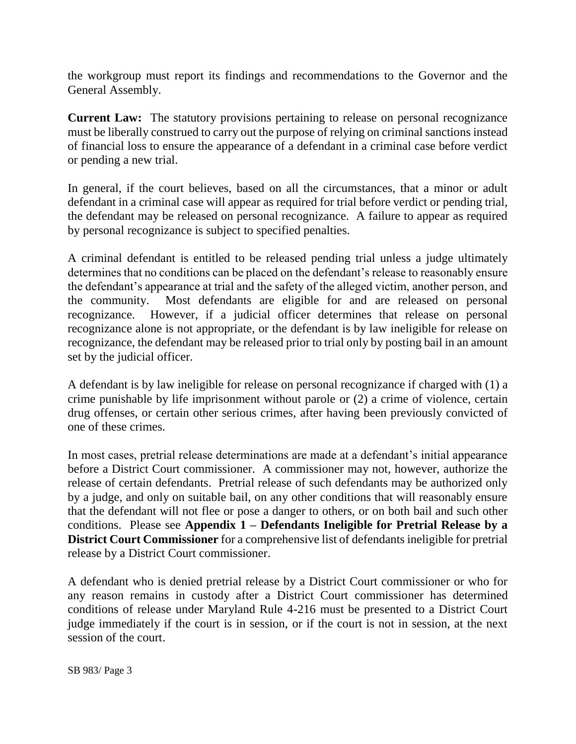the workgroup must report its findings and recommendations to the Governor and the General Assembly.

**Current Law:** The statutory provisions pertaining to release on personal recognizance must be liberally construed to carry out the purpose of relying on criminal sanctions instead of financial loss to ensure the appearance of a defendant in a criminal case before verdict or pending a new trial.

In general, if the court believes, based on all the circumstances, that a minor or adult defendant in a criminal case will appear as required for trial before verdict or pending trial, the defendant may be released on personal recognizance. A failure to appear as required by personal recognizance is subject to specified penalties.

A criminal defendant is entitled to be released pending trial unless a judge ultimately determines that no conditions can be placed on the defendant's release to reasonably ensure the defendant's appearance at trial and the safety of the alleged victim, another person, and the community. Most defendants are eligible for and are released on personal recognizance. However, if a judicial officer determines that release on personal recognizance alone is not appropriate, or the defendant is by law ineligible for release on recognizance, the defendant may be released prior to trial only by posting bail in an amount set by the judicial officer.

A defendant is by law ineligible for release on personal recognizance if charged with (1) a crime punishable by life imprisonment without parole or (2) a crime of violence, certain drug offenses, or certain other serious crimes, after having been previously convicted of one of these crimes.

In most cases, pretrial release determinations are made at a defendant's initial appearance before a District Court commissioner. A commissioner may not, however, authorize the release of certain defendants. Pretrial release of such defendants may be authorized only by a judge, and only on suitable bail, on any other conditions that will reasonably ensure that the defendant will not flee or pose a danger to others, or on both bail and such other conditions. Please see **Appendix 1 – Defendants Ineligible for Pretrial Release by a District Court Commissioner** for a comprehensive list of defendants ineligible for pretrial release by a District Court commissioner.

A defendant who is denied pretrial release by a District Court commissioner or who for any reason remains in custody after a District Court commissioner has determined conditions of release under Maryland Rule 4-216 must be presented to a District Court judge immediately if the court is in session, or if the court is not in session, at the next session of the court.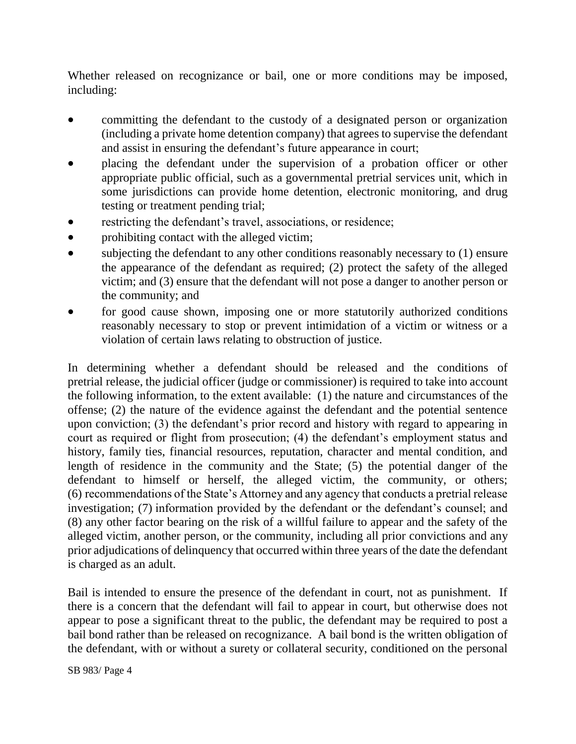Whether released on recognizance or bail, one or more conditions may be imposed, including:

- committing the defendant to the custody of a designated person or organization (including a private home detention company) that agrees to supervise the defendant and assist in ensuring the defendant's future appearance in court;
- placing the defendant under the supervision of a probation officer or other appropriate public official, such as a governmental pretrial services unit, which in some jurisdictions can provide home detention, electronic monitoring, and drug testing or treatment pending trial;
- restricting the defendant's travel, associations, or residence;
- prohibiting contact with the alleged victim;
- subjecting the defendant to any other conditions reasonably necessary to (1) ensure the appearance of the defendant as required; (2) protect the safety of the alleged victim; and (3) ensure that the defendant will not pose a danger to another person or the community; and
- for good cause shown, imposing one or more statutorily authorized conditions reasonably necessary to stop or prevent intimidation of a victim or witness or a violation of certain laws relating to obstruction of justice.

In determining whether a defendant should be released and the conditions of pretrial release, the judicial officer (judge or commissioner) is required to take into account the following information, to the extent available: (1) the nature and circumstances of the offense; (2) the nature of the evidence against the defendant and the potential sentence upon conviction; (3) the defendant's prior record and history with regard to appearing in court as required or flight from prosecution; (4) the defendant's employment status and history, family ties, financial resources, reputation, character and mental condition, and length of residence in the community and the State; (5) the potential danger of the defendant to himself or herself, the alleged victim, the community, or others; (6) recommendations of the State's Attorney and any agency that conducts a pretrial release investigation; (7) information provided by the defendant or the defendant's counsel; and (8) any other factor bearing on the risk of a willful failure to appear and the safety of the alleged victim, another person, or the community, including all prior convictions and any prior adjudications of delinquency that occurred within three years of the date the defendant is charged as an adult.

Bail is intended to ensure the presence of the defendant in court, not as punishment. If there is a concern that the defendant will fail to appear in court, but otherwise does not appear to pose a significant threat to the public, the defendant may be required to post a bail bond rather than be released on recognizance. A bail bond is the written obligation of the defendant, with or without a surety or collateral security, conditioned on the personal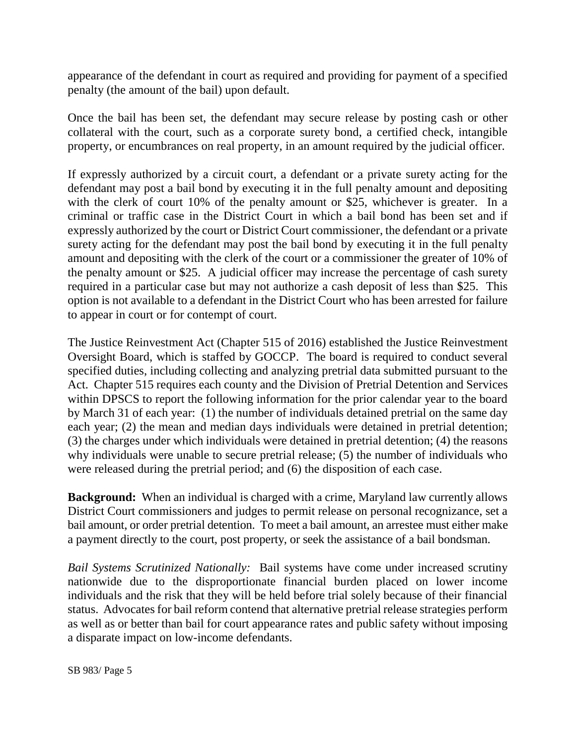appearance of the defendant in court as required and providing for payment of a specified penalty (the amount of the bail) upon default.

Once the bail has been set, the defendant may secure release by posting cash or other collateral with the court, such as a corporate surety bond, a certified check, intangible property, or encumbrances on real property, in an amount required by the judicial officer.

If expressly authorized by a circuit court, a defendant or a private surety acting for the defendant may post a bail bond by executing it in the full penalty amount and depositing with the clerk of court 10% of the penalty amount or \$25, whichever is greater. In a criminal or traffic case in the District Court in which a bail bond has been set and if expressly authorized by the court or District Court commissioner, the defendant or a private surety acting for the defendant may post the bail bond by executing it in the full penalty amount and depositing with the clerk of the court or a commissioner the greater of 10% of the penalty amount or \$25. A judicial officer may increase the percentage of cash surety required in a particular case but may not authorize a cash deposit of less than \$25. This option is not available to a defendant in the District Court who has been arrested for failure to appear in court or for contempt of court.

The Justice Reinvestment Act (Chapter 515 of 2016) established the Justice Reinvestment Oversight Board, which is staffed by GOCCP. The board is required to conduct several specified duties, including collecting and analyzing pretrial data submitted pursuant to the Act. Chapter 515 requires each county and the Division of Pretrial Detention and Services within DPSCS to report the following information for the prior calendar year to the board by March 31 of each year: (1) the number of individuals detained pretrial on the same day each year; (2) the mean and median days individuals were detained in pretrial detention; (3) the charges under which individuals were detained in pretrial detention; (4) the reasons why individuals were unable to secure pretrial release; (5) the number of individuals who were released during the pretrial period; and (6) the disposition of each case.

**Background:** When an individual is charged with a crime, Maryland law currently allows District Court commissioners and judges to permit release on personal recognizance, set a bail amount, or order pretrial detention. To meet a bail amount, an arrestee must either make a payment directly to the court, post property, or seek the assistance of a bail bondsman.

*Bail Systems Scrutinized Nationally:* Bail systems have come under increased scrutiny nationwide due to the disproportionate financial burden placed on lower income individuals and the risk that they will be held before trial solely because of their financial status. Advocates for bail reform contend that alternative pretrial release strategies perform as well as or better than bail for court appearance rates and public safety without imposing a disparate impact on low-income defendants.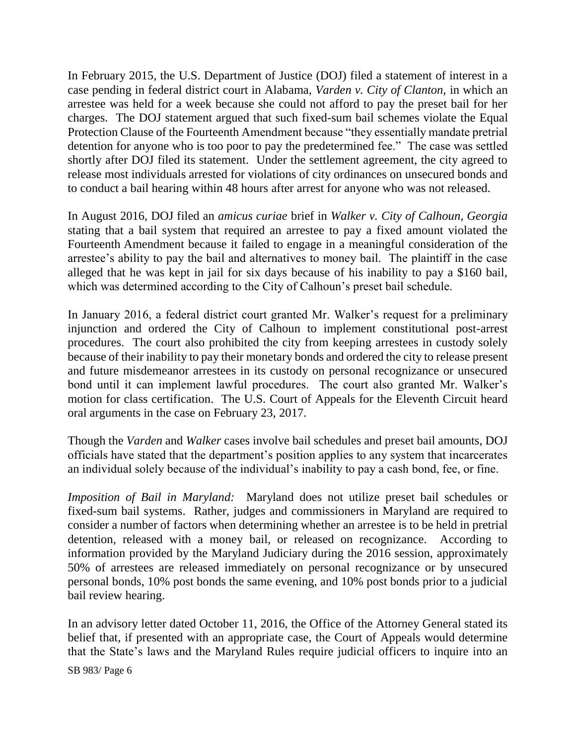In February 2015, the U.S. Department of Justice (DOJ) filed a statement of interest in a case pending in federal district court in Alabama, *Varden v. City of Clanton,* in which an arrestee was held for a week because she could not afford to pay the preset bail for her charges. The DOJ statement argued that such fixed-sum bail schemes violate the Equal Protection Clause of the Fourteenth Amendment because "they essentially mandate pretrial detention for anyone who is too poor to pay the predetermined fee." The case was settled shortly after DOJ filed its statement. Under the settlement agreement, the city agreed to release most individuals arrested for violations of city ordinances on unsecured bonds and to conduct a bail hearing within 48 hours after arrest for anyone who was not released.

In August 2016, DOJ filed an *amicus curiae* brief in *Walker v. City of Calhoun, Georgia*  stating that a bail system that required an arrestee to pay a fixed amount violated the Fourteenth Amendment because it failed to engage in a meaningful consideration of the arrestee's ability to pay the bail and alternatives to money bail. The plaintiff in the case alleged that he was kept in jail for six days because of his inability to pay a \$160 bail, which was determined according to the City of Calhoun's preset bail schedule.

In January 2016, a federal district court granted Mr. Walker's request for a preliminary injunction and ordered the City of Calhoun to implement constitutional post-arrest procedures. The court also prohibited the city from keeping arrestees in custody solely because of their inability to pay their monetary bonds and ordered the city to release present and future misdemeanor arrestees in its custody on personal recognizance or unsecured bond until it can implement lawful procedures. The court also granted Mr. Walker's motion for class certification. The U.S. Court of Appeals for the Eleventh Circuit heard oral arguments in the case on February 23, 2017.

Though the *Varden* and *Walker* cases involve bail schedules and preset bail amounts, DOJ officials have stated that the department's position applies to any system that incarcerates an individual solely because of the individual's inability to pay a cash bond, fee, or fine.

*Imposition of Bail in Maryland:* Maryland does not utilize preset bail schedules or fixed-sum bail systems. Rather, judges and commissioners in Maryland are required to consider a number of factors when determining whether an arrestee is to be held in pretrial detention, released with a money bail, or released on recognizance. According to information provided by the Maryland Judiciary during the 2016 session, approximately 50% of arrestees are released immediately on personal recognizance or by unsecured personal bonds, 10% post bonds the same evening, and 10% post bonds prior to a judicial bail review hearing.

In an advisory letter dated October 11, 2016, the Office of the Attorney General stated its belief that, if presented with an appropriate case, the Court of Appeals would determine that the State's laws and the Maryland Rules require judicial officers to inquire into an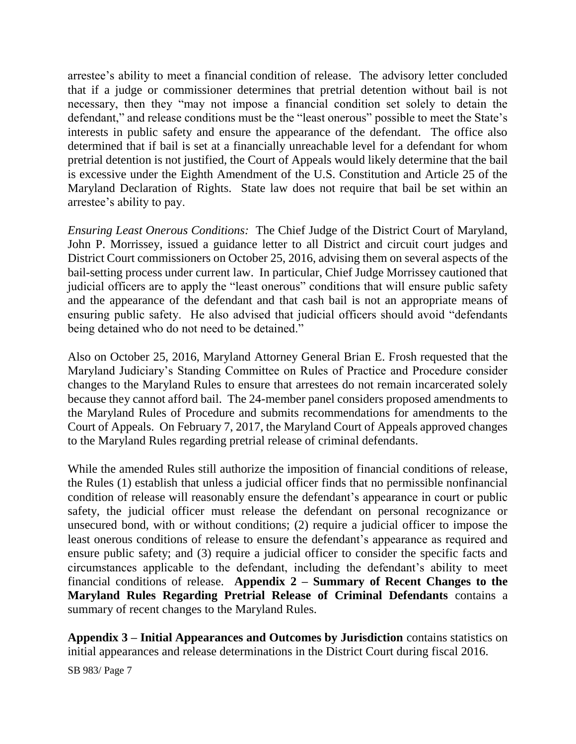arrestee's ability to meet a financial condition of release. The advisory letter concluded that if a judge or commissioner determines that pretrial detention without bail is not necessary, then they "may not impose a financial condition set solely to detain the defendant," and release conditions must be the "least onerous" possible to meet the State's interests in public safety and ensure the appearance of the defendant. The office also determined that if bail is set at a financially unreachable level for a defendant for whom pretrial detention is not justified, the Court of Appeals would likely determine that the bail is excessive under the Eighth Amendment of the U.S. Constitution and Article 25 of the Maryland Declaration of Rights. State law does not require that bail be set within an arrestee's ability to pay.

*Ensuring Least Onerous Conditions:* The Chief Judge of the District Court of Maryland, John P. Morrissey, issued a guidance letter to all District and circuit court judges and District Court commissioners on October 25, 2016, advising them on several aspects of the bail-setting process under current law. In particular, Chief Judge Morrissey cautioned that judicial officers are to apply the "least onerous" conditions that will ensure public safety and the appearance of the defendant and that cash bail is not an appropriate means of ensuring public safety. He also advised that judicial officers should avoid "defendants being detained who do not need to be detained."

Also on October 25, 2016, Maryland Attorney General Brian E. Frosh requested that the Maryland Judiciary's Standing Committee on Rules of Practice and Procedure consider changes to the Maryland Rules to ensure that arrestees do not remain incarcerated solely because they cannot afford bail. The 24-member panel considers proposed amendments to the Maryland Rules of Procedure and submits recommendations for amendments to the Court of Appeals. On February 7, 2017, the Maryland Court of Appeals approved changes to the Maryland Rules regarding pretrial release of criminal defendants.

While the amended Rules still authorize the imposition of financial conditions of release, the Rules (1) establish that unless a judicial officer finds that no permissible nonfinancial condition of release will reasonably ensure the defendant's appearance in court or public safety, the judicial officer must release the defendant on personal recognizance or unsecured bond, with or without conditions; (2) require a judicial officer to impose the least onerous conditions of release to ensure the defendant's appearance as required and ensure public safety; and (3) require a judicial officer to consider the specific facts and circumstances applicable to the defendant, including the defendant's ability to meet financial conditions of release. **Appendix 2 – Summary of Recent Changes to the Maryland Rules Regarding Pretrial Release of Criminal Defendants** contains a summary of recent changes to the Maryland Rules.

**Appendix 3 – Initial Appearances and Outcomes by Jurisdiction** contains statistics on initial appearances and release determinations in the District Court during fiscal 2016.

SB 983/ Page 7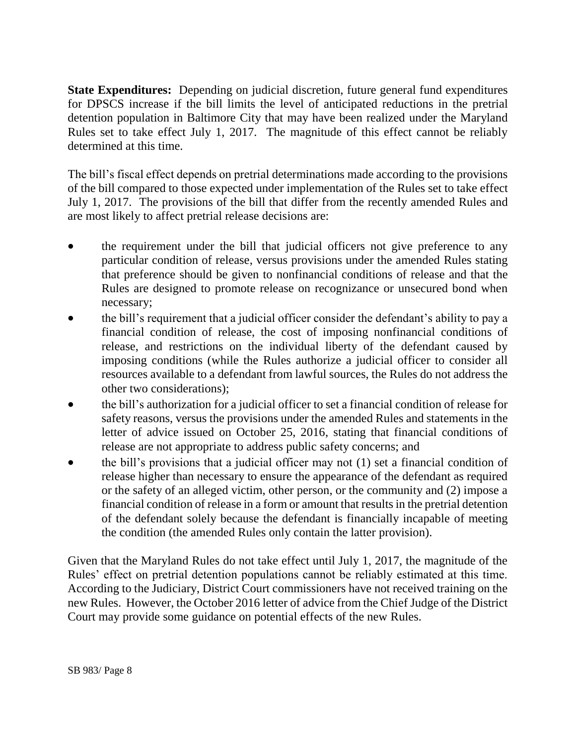**State Expenditures:** Depending on judicial discretion, future general fund expenditures for DPSCS increase if the bill limits the level of anticipated reductions in the pretrial detention population in Baltimore City that may have been realized under the Maryland Rules set to take effect July 1, 2017. The magnitude of this effect cannot be reliably determined at this time.

The bill's fiscal effect depends on pretrial determinations made according to the provisions of the bill compared to those expected under implementation of the Rules set to take effect July 1, 2017. The provisions of the bill that differ from the recently amended Rules and are most likely to affect pretrial release decisions are:

- the requirement under the bill that judicial officers not give preference to any particular condition of release, versus provisions under the amended Rules stating that preference should be given to nonfinancial conditions of release and that the Rules are designed to promote release on recognizance or unsecured bond when necessary;
- the bill's requirement that a judicial officer consider the defendant's ability to pay a financial condition of release, the cost of imposing nonfinancial conditions of release, and restrictions on the individual liberty of the defendant caused by imposing conditions (while the Rules authorize a judicial officer to consider all resources available to a defendant from lawful sources, the Rules do not address the other two considerations);
- the bill's authorization for a judicial officer to set a financial condition of release for safety reasons, versus the provisions under the amended Rules and statements in the letter of advice issued on October 25, 2016, stating that financial conditions of release are not appropriate to address public safety concerns; and
- $\bullet$  the bill's provisions that a judicial officer may not (1) set a financial condition of release higher than necessary to ensure the appearance of the defendant as required or the safety of an alleged victim, other person, or the community and (2) impose a financial condition of release in a form or amount that results in the pretrial detention of the defendant solely because the defendant is financially incapable of meeting the condition (the amended Rules only contain the latter provision).

Given that the Maryland Rules do not take effect until July 1, 2017, the magnitude of the Rules' effect on pretrial detention populations cannot be reliably estimated at this time. According to the Judiciary, District Court commissioners have not received training on the new Rules. However, the October 2016 letter of advice from the Chief Judge of the District Court may provide some guidance on potential effects of the new Rules.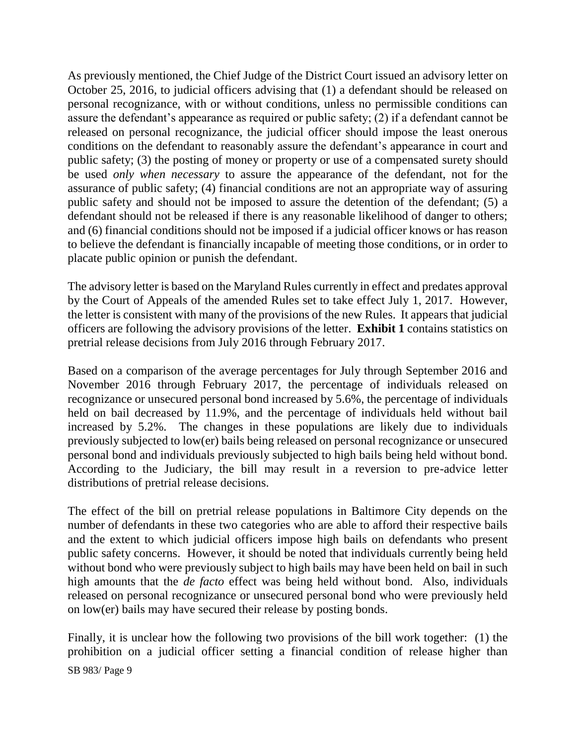As previously mentioned, the Chief Judge of the District Court issued an advisory letter on October 25, 2016, to judicial officers advising that (1) a defendant should be released on personal recognizance, with or without conditions, unless no permissible conditions can assure the defendant's appearance as required or public safety; (2) if a defendant cannot be released on personal recognizance, the judicial officer should impose the least onerous conditions on the defendant to reasonably assure the defendant's appearance in court and public safety; (3) the posting of money or property or use of a compensated surety should be used *only when necessary* to assure the appearance of the defendant, not for the assurance of public safety; (4) financial conditions are not an appropriate way of assuring public safety and should not be imposed to assure the detention of the defendant; (5) a defendant should not be released if there is any reasonable likelihood of danger to others; and (6) financial conditions should not be imposed if a judicial officer knows or has reason to believe the defendant is financially incapable of meeting those conditions, or in order to placate public opinion or punish the defendant.

The advisory letter is based on the Maryland Rules currently in effect and predates approval by the Court of Appeals of the amended Rules set to take effect July 1, 2017. However, the letter is consistent with many of the provisions of the new Rules. It appears that judicial officers are following the advisory provisions of the letter. **Exhibit 1** contains statistics on pretrial release decisions from July 2016 through February 2017.

Based on a comparison of the average percentages for July through September 2016 and November 2016 through February 2017, the percentage of individuals released on recognizance or unsecured personal bond increased by 5.6%, the percentage of individuals held on bail decreased by 11.9%, and the percentage of individuals held without bail increased by 5.2%. The changes in these populations are likely due to individuals previously subjected to low(er) bails being released on personal recognizance or unsecured personal bond and individuals previously subjected to high bails being held without bond. According to the Judiciary, the bill may result in a reversion to pre-advice letter distributions of pretrial release decisions.

The effect of the bill on pretrial release populations in Baltimore City depends on the number of defendants in these two categories who are able to afford their respective bails and the extent to which judicial officers impose high bails on defendants who present public safety concerns. However, it should be noted that individuals currently being held without bond who were previously subject to high bails may have been held on bail in such high amounts that the *de facto* effect was being held without bond. Also, individuals released on personal recognizance or unsecured personal bond who were previously held on low(er) bails may have secured their release by posting bonds.

Finally, it is unclear how the following two provisions of the bill work together: (1) the prohibition on a judicial officer setting a financial condition of release higher than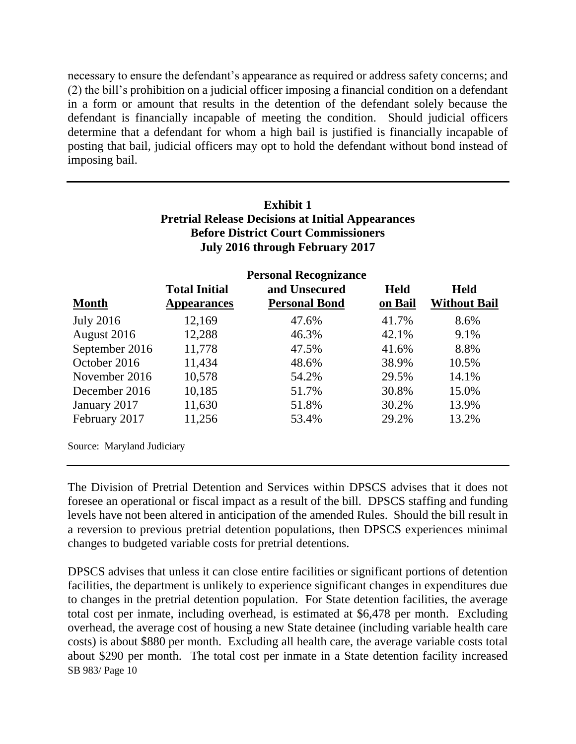necessary to ensure the defendant's appearance as required or address safety concerns; and (2) the bill's prohibition on a judicial officer imposing a financial condition on a defendant in a form or amount that results in the detention of the defendant solely because the defendant is financially incapable of meeting the condition. Should judicial officers determine that a defendant for whom a high bail is justified is financially incapable of posting that bail, judicial officers may opt to hold the defendant without bond instead of imposing bail.

| <b>Exhibit 1</b>                                         |
|----------------------------------------------------------|
| <b>Pretrial Release Decisions at Initial Appearances</b> |
| <b>Before District Court Commissioners</b>               |
| July 2016 through February 2017                          |

|                            |                      | <b>Personal Recognizance</b> |             |                     |
|----------------------------|----------------------|------------------------------|-------------|---------------------|
|                            | <b>Total Initial</b> | and Unsecured                | <b>Held</b> | <b>Held</b>         |
| <b>Month</b>               | <b>Appearances</b>   | <b>Personal Bond</b>         | on Bail     | <b>Without Bail</b> |
| <b>July 2016</b>           | 12,169               | 47.6%                        | 41.7%       | 8.6%                |
| August 2016                | 12,288               | 46.3%                        | 42.1%       | 9.1%                |
| September 2016             | 11,778               | 47.5%                        | 41.6%       | 8.8%                |
| October 2016               | 11,434               | 48.6%                        | 38.9%       | 10.5%               |
| November 2016              | 10,578               | 54.2%                        | 29.5%       | 14.1%               |
| December 2016              | 10,185               | 51.7%                        | 30.8%       | 15.0%               |
| January 2017               | 11,630               | 51.8%                        | 30.2%       | 13.9%               |
| February 2017              | 11,256               | 53.4%                        | 29.2%       | 13.2%               |
|                            |                      |                              |             |                     |
| Source: Maryland Judiciary |                      |                              |             |                     |

The Division of Pretrial Detention and Services within DPSCS advises that it does not foresee an operational or fiscal impact as a result of the bill. DPSCS staffing and funding levels have not been altered in anticipation of the amended Rules. Should the bill result in a reversion to previous pretrial detention populations, then DPSCS experiences minimal changes to budgeted variable costs for pretrial detentions.

SB 983/ Page 10 DPSCS advises that unless it can close entire facilities or significant portions of detention facilities, the department is unlikely to experience significant changes in expenditures due to changes in the pretrial detention population. For State detention facilities, the average total cost per inmate, including overhead, is estimated at \$6,478 per month. Excluding overhead, the average cost of housing a new State detainee (including variable health care costs) is about \$880 per month. Excluding all health care, the average variable costs total about \$290 per month. The total cost per inmate in a State detention facility increased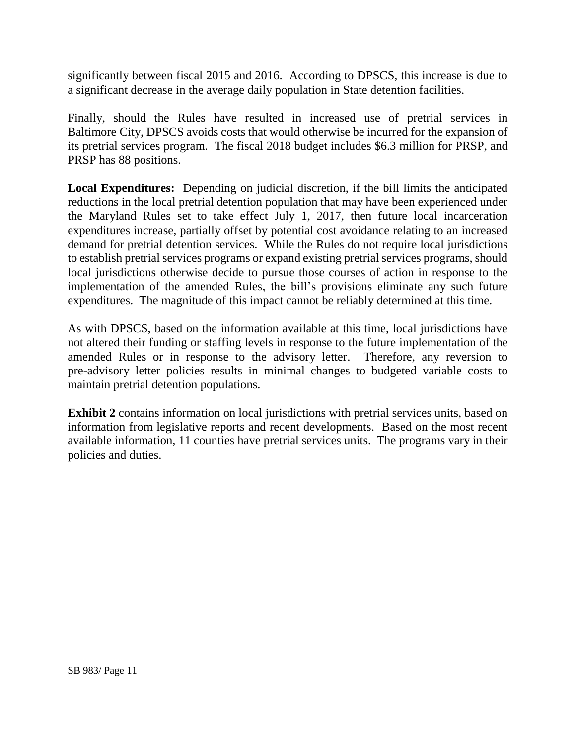significantly between fiscal 2015 and 2016. According to DPSCS, this increase is due to a significant decrease in the average daily population in State detention facilities.

Finally, should the Rules have resulted in increased use of pretrial services in Baltimore City, DPSCS avoids costs that would otherwise be incurred for the expansion of its pretrial services program. The fiscal 2018 budget includes \$6.3 million for PRSP, and PRSP has 88 positions.

**Local Expenditures:** Depending on judicial discretion, if the bill limits the anticipated reductions in the local pretrial detention population that may have been experienced under the Maryland Rules set to take effect July 1, 2017, then future local incarceration expenditures increase, partially offset by potential cost avoidance relating to an increased demand for pretrial detention services. While the Rules do not require local jurisdictions to establish pretrial services programs or expand existing pretrial services programs, should local jurisdictions otherwise decide to pursue those courses of action in response to the implementation of the amended Rules, the bill's provisions eliminate any such future expenditures. The magnitude of this impact cannot be reliably determined at this time.

As with DPSCS, based on the information available at this time, local jurisdictions have not altered their funding or staffing levels in response to the future implementation of the amended Rules or in response to the advisory letter. Therefore, any reversion to pre-advisory letter policies results in minimal changes to budgeted variable costs to maintain pretrial detention populations.

**Exhibit 2** contains information on local jurisdictions with pretrial services units, based on information from legislative reports and recent developments. Based on the most recent available information, 11 counties have pretrial services units. The programs vary in their policies and duties.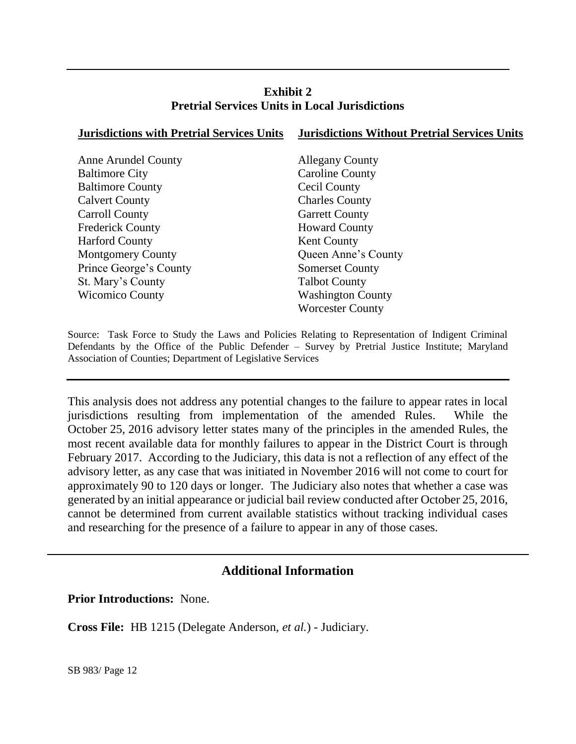### **Exhibit 2 Pretrial Services Units in Local Jurisdictions**

| <b>Jurisdictions with Pretrial Services Units</b> | <b>Jurisdictions Without Pretrial Services Units</b> |
|---------------------------------------------------|------------------------------------------------------|
|                                                   |                                                      |
| <b>Anne Arundel County</b>                        | <b>Allegany County</b>                               |
| <b>Baltimore City</b>                             | <b>Caroline County</b>                               |
| <b>Baltimore County</b>                           | Cecil County                                         |
| <b>Calvert County</b>                             | <b>Charles County</b>                                |
| Carroll County                                    | <b>Garrett County</b>                                |
| <b>Frederick County</b>                           | <b>Howard County</b>                                 |
| <b>Harford County</b>                             | <b>Kent County</b>                                   |
| <b>Montgomery County</b>                          | Queen Anne's County                                  |
| Prince George's County                            | <b>Somerset County</b>                               |
| St. Mary's County                                 | <b>Talbot County</b>                                 |
| <b>Wicomico County</b>                            | <b>Washington County</b>                             |
|                                                   | <b>Worcester County</b>                              |
|                                                   |                                                      |

Source: Task Force to Study the Laws and Policies Relating to Representation of Indigent Criminal Defendants by the Office of the Public Defender – Survey by Pretrial Justice Institute; Maryland Association of Counties; Department of Legislative Services

This analysis does not address any potential changes to the failure to appear rates in local jurisdictions resulting from implementation of the amended Rules. While the October 25, 2016 advisory letter states many of the principles in the amended Rules, the most recent available data for monthly failures to appear in the District Court is through February 2017. According to the Judiciary, this data is not a reflection of any effect of the advisory letter, as any case that was initiated in November 2016 will not come to court for approximately 90 to 120 days or longer. The Judiciary also notes that whether a case was generated by an initial appearance or judicial bail review conducted after October 25, 2016, cannot be determined from current available statistics without tracking individual cases and researching for the presence of a failure to appear in any of those cases.

## **Additional Information**

**Prior Introductions:** None.

**Cross File:** HB 1215 (Delegate Anderson, *et al.*) - Judiciary.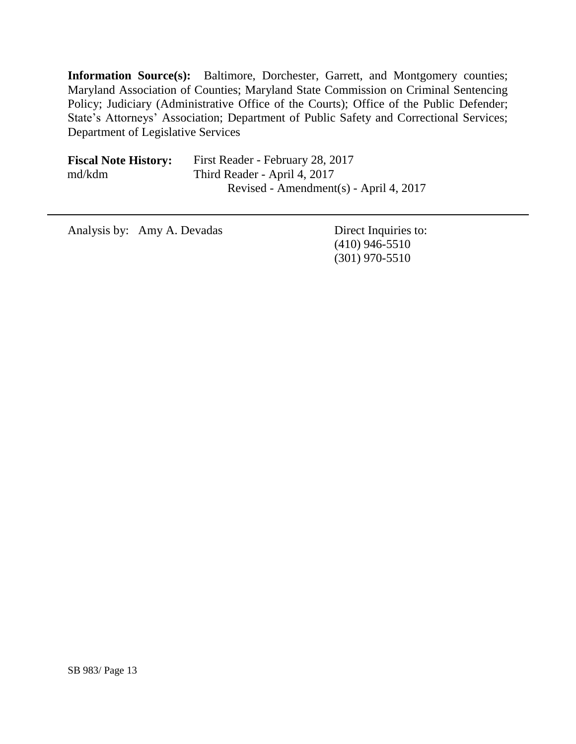**Information Source(s):** Baltimore, Dorchester, Garrett, and Montgomery counties; Maryland Association of Counties; Maryland State Commission on Criminal Sentencing Policy; Judiciary (Administrative Office of the Courts); Office of the Public Defender; State's Attorneys' Association; Department of Public Safety and Correctional Services; Department of Legislative Services

| <b>Fiscal Note History:</b> | First Reader - February 28, 2017       |
|-----------------------------|----------------------------------------|
| md/kdm                      | Third Reader - April 4, 2017           |
|                             | Revised - Amendment(s) - April 4, 2017 |

Analysis by: Amy A. Devadas Direct Inquiries to:

(410) 946-5510 (301) 970-5510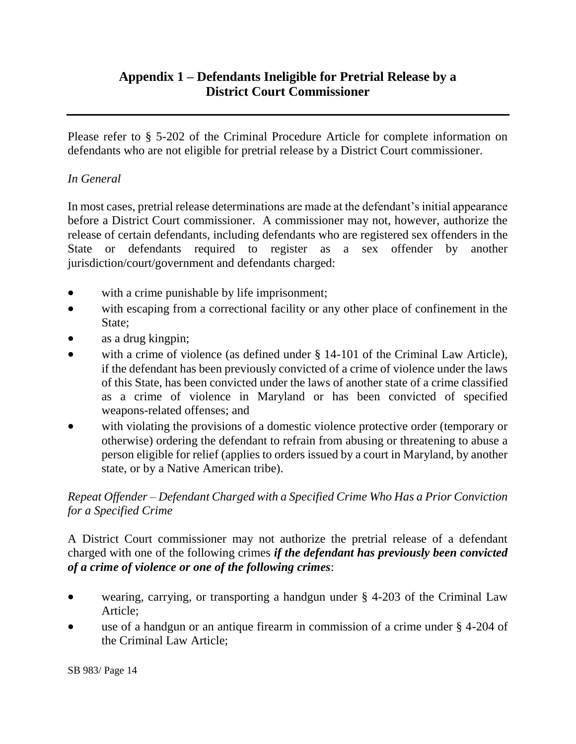## **Appendix 1 – Defendants Ineligible for Pretrial Release by a District Court Commissioner**

Please refer to § 5-202 of the Criminal Procedure Article for complete information on defendants who are not eligible for pretrial release by a District Court commissioner.

### *In General*

In most cases, pretrial release determinations are made at the defendant's initial appearance before a District Court commissioner. A commissioner may not, however, authorize the release of certain defendants, including defendants who are registered sex offenders in the State or defendants required to register as a sex offender by another jurisdiction/court/government and defendants charged:

- with a crime punishable by life imprisonment;
- with escaping from a correctional facility or any other place of confinement in the State;
- as a drug kingpin;
- with a crime of violence (as defined under § 14-101 of the Criminal Law Article), if the defendant has been previously convicted of a crime of violence under the laws of this State, has been convicted under the laws of another state of a crime classified as a crime of violence in Maryland or has been convicted of specified weapons-related offenses; and
- with violating the provisions of a domestic violence protective order (temporary or otherwise) ordering the defendant to refrain from abusing or threatening to abuse a person eligible for relief (applies to orders issued by a court in Maryland, by another state, or by a Native American tribe).

### *Repeat Offender – Defendant Charged with a Specified Crime Who Has a Prior Conviction for a Specified Crime*

A District Court commissioner may not authorize the pretrial release of a defendant charged with one of the following crimes *if the defendant has previously been convicted of a crime of violence or one of the following crimes*:

- wearing, carrying, or transporting a handgun under § 4-203 of the Criminal Law Article;
- use of a handgun or an antique firearm in commission of a crime under § 4-204 of the Criminal Law Article;

SB 983/ Page 14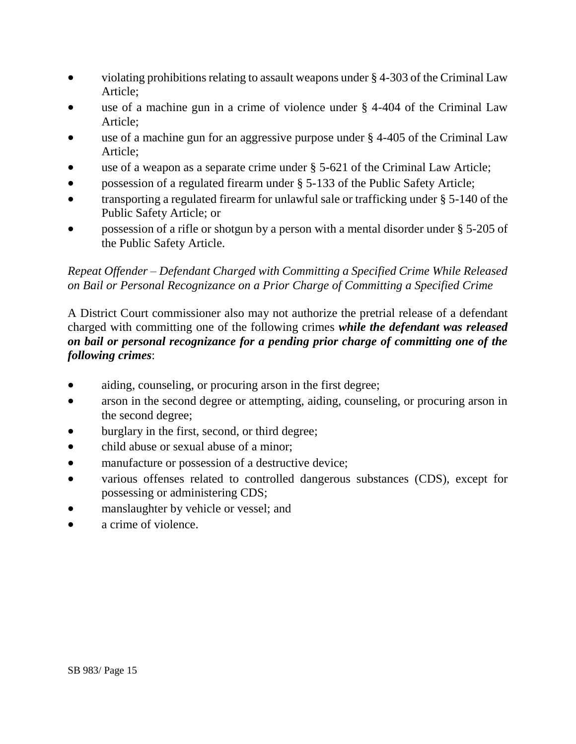- violating prohibitions relating to assault weapons under § 4-303 of the Criminal Law Article;
- use of a machine gun in a crime of violence under § 4-404 of the Criminal Law Article;
- use of a machine gun for an aggressive purpose under § 4-405 of the Criminal Law Article;
- use of a weapon as a separate crime under § 5-621 of the Criminal Law Article;
- possession of a regulated firearm under § 5-133 of the Public Safety Article;
- transporting a regulated firearm for unlawful sale or trafficking under § 5-140 of the Public Safety Article; or
- possession of a rifle or shotgun by a person with a mental disorder under § 5-205 of the Public Safety Article.

### *Repeat Offender – Defendant Charged with Committing a Specified Crime While Released on Bail or Personal Recognizance on a Prior Charge of Committing a Specified Crime*

A District Court commissioner also may not authorize the pretrial release of a defendant charged with committing one of the following crimes *while the defendant was released on bail or personal recognizance for a pending prior charge of committing one of the following crimes*:

- aiding, counseling, or procuring arson in the first degree;
- arson in the second degree or attempting, aiding, counseling, or procuring arson in the second degree;
- burglary in the first, second, or third degree;
- child abuse or sexual abuse of a minor;
- manufacture or possession of a destructive device;
- various offenses related to controlled dangerous substances (CDS), except for possessing or administering CDS;
- manslaughter by vehicle or vessel; and
- a crime of violence.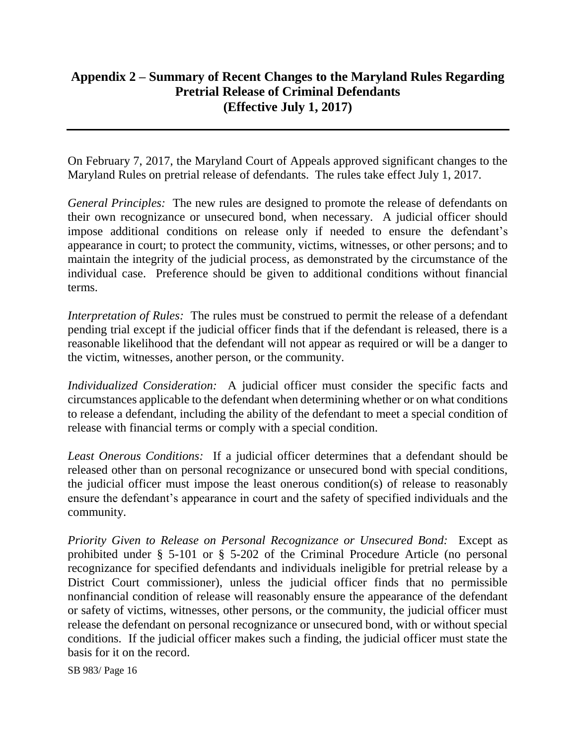## **Appendix 2 – Summary of Recent Changes to the Maryland Rules Regarding Pretrial Release of Criminal Defendants (Effective July 1, 2017)**

On February 7, 2017, the Maryland Court of Appeals approved significant changes to the Maryland Rules on pretrial release of defendants. The rules take effect July 1, 2017.

*General Principles:* The new rules are designed to promote the release of defendants on their own recognizance or unsecured bond, when necessary. A judicial officer should impose additional conditions on release only if needed to ensure the defendant's appearance in court; to protect the community, victims, witnesses, or other persons; and to maintain the integrity of the judicial process, as demonstrated by the circumstance of the individual case. Preference should be given to additional conditions without financial terms.

*Interpretation of Rules:* The rules must be construed to permit the release of a defendant pending trial except if the judicial officer finds that if the defendant is released, there is a reasonable likelihood that the defendant will not appear as required or will be a danger to the victim, witnesses, another person, or the community.

*Individualized Consideration:* A judicial officer must consider the specific facts and circumstances applicable to the defendant when determining whether or on what conditions to release a defendant, including the ability of the defendant to meet a special condition of release with financial terms or comply with a special condition.

*Least Onerous Conditions:* If a judicial officer determines that a defendant should be released other than on personal recognizance or unsecured bond with special conditions, the judicial officer must impose the least onerous condition(s) of release to reasonably ensure the defendant's appearance in court and the safety of specified individuals and the community.

*Priority Given to Release on Personal Recognizance or Unsecured Bond:* Except as prohibited under § 5-101 or § 5-202 of the Criminal Procedure Article (no personal recognizance for specified defendants and individuals ineligible for pretrial release by a District Court commissioner), unless the judicial officer finds that no permissible nonfinancial condition of release will reasonably ensure the appearance of the defendant or safety of victims, witnesses, other persons, or the community, the judicial officer must release the defendant on personal recognizance or unsecured bond, with or without special conditions. If the judicial officer makes such a finding, the judicial officer must state the basis for it on the record.

SB 983/ Page 16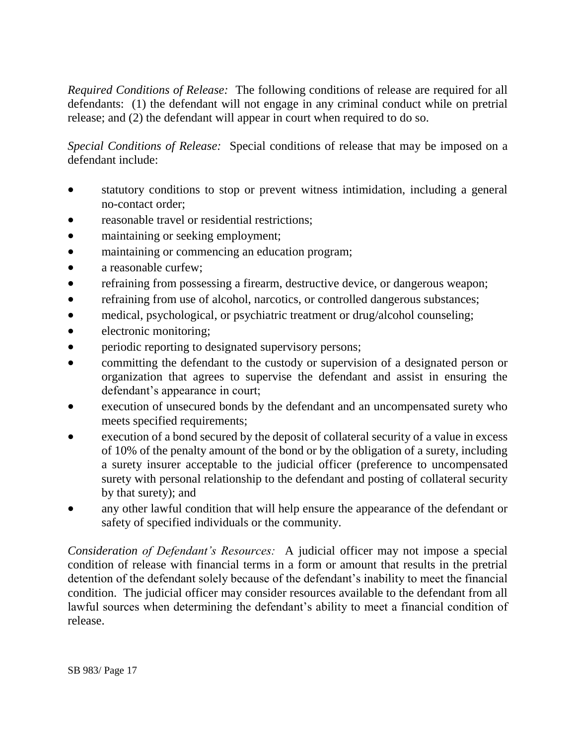*Required Conditions of Release:* The following conditions of release are required for all defendants: (1) the defendant will not engage in any criminal conduct while on pretrial release; and (2) the defendant will appear in court when required to do so.

*Special Conditions of Release:* Special conditions of release that may be imposed on a defendant include:

- statutory conditions to stop or prevent witness intimidation, including a general no-contact order;
- reasonable travel or residential restrictions;
- maintaining or seeking employment;
- maintaining or commencing an education program;
- a reasonable curfew;
- refraining from possessing a firearm, destructive device, or dangerous weapon;
- refraining from use of alcohol, narcotics, or controlled dangerous substances;
- medical, psychological, or psychiatric treatment or drug/alcohol counseling;
- electronic monitoring;
- **•** periodic reporting to designated supervisory persons;
- committing the defendant to the custody or supervision of a designated person or organization that agrees to supervise the defendant and assist in ensuring the defendant's appearance in court;
- execution of unsecured bonds by the defendant and an uncompensated surety who meets specified requirements;
- execution of a bond secured by the deposit of collateral security of a value in excess of 10% of the penalty amount of the bond or by the obligation of a surety, including a surety insurer acceptable to the judicial officer (preference to uncompensated surety with personal relationship to the defendant and posting of collateral security by that surety); and
- any other lawful condition that will help ensure the appearance of the defendant or safety of specified individuals or the community.

*Consideration of Defendant's Resources:* A judicial officer may not impose a special condition of release with financial terms in a form or amount that results in the pretrial detention of the defendant solely because of the defendant's inability to meet the financial condition. The judicial officer may consider resources available to the defendant from all lawful sources when determining the defendant's ability to meet a financial condition of release.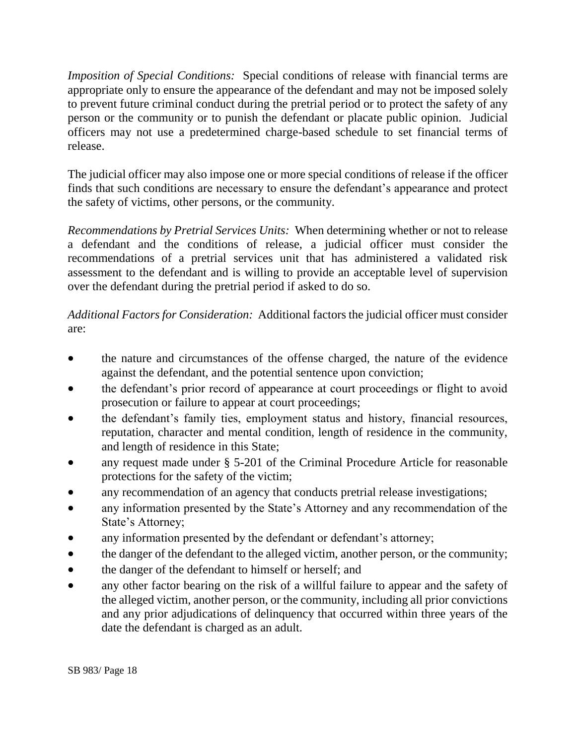*Imposition of Special Conditions:* Special conditions of release with financial terms are appropriate only to ensure the appearance of the defendant and may not be imposed solely to prevent future criminal conduct during the pretrial period or to protect the safety of any person or the community or to punish the defendant or placate public opinion. Judicial officers may not use a predetermined charge-based schedule to set financial terms of release.

The judicial officer may also impose one or more special conditions of release if the officer finds that such conditions are necessary to ensure the defendant's appearance and protect the safety of victims, other persons, or the community.

*Recommendations by Pretrial Services Units:* When determining whether or not to release a defendant and the conditions of release, a judicial officer must consider the recommendations of a pretrial services unit that has administered a validated risk assessment to the defendant and is willing to provide an acceptable level of supervision over the defendant during the pretrial period if asked to do so.

*Additional Factors for Consideration:* Additional factors the judicial officer must consider are:

- the nature and circumstances of the offense charged, the nature of the evidence against the defendant, and the potential sentence upon conviction;
- the defendant's prior record of appearance at court proceedings or flight to avoid prosecution or failure to appear at court proceedings;
- the defendant's family ties, employment status and history, financial resources, reputation, character and mental condition, length of residence in the community, and length of residence in this State;
- any request made under § 5-201 of the Criminal Procedure Article for reasonable protections for the safety of the victim;
- any recommendation of an agency that conducts pretrial release investigations;
- any information presented by the State's Attorney and any recommendation of the State's Attorney;
- any information presented by the defendant or defendant's attorney;
- the danger of the defendant to the alleged victim, another person, or the community;
- the danger of the defendant to himself or herself; and
- any other factor bearing on the risk of a willful failure to appear and the safety of the alleged victim, another person, or the community, including all prior convictions and any prior adjudications of delinquency that occurred within three years of the date the defendant is charged as an adult.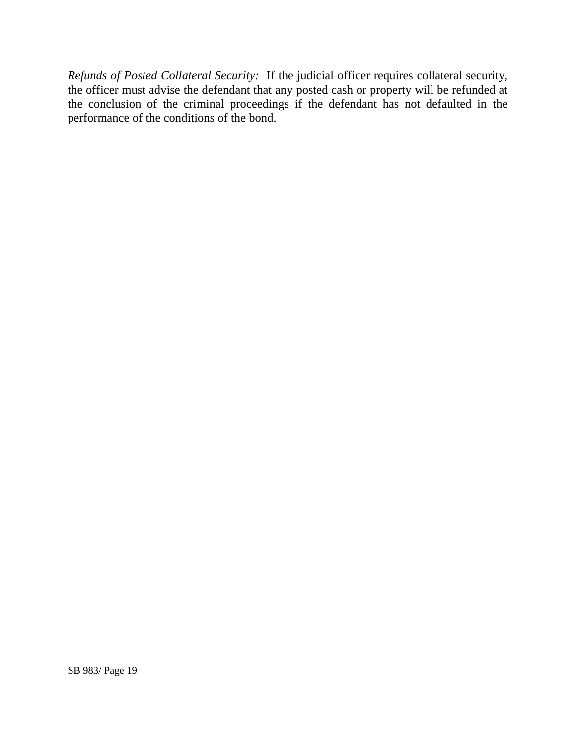*Refunds of Posted Collateral Security:* If the judicial officer requires collateral security, the officer must advise the defendant that any posted cash or property will be refunded at the conclusion of the criminal proceedings if the defendant has not defaulted in the performance of the conditions of the bond.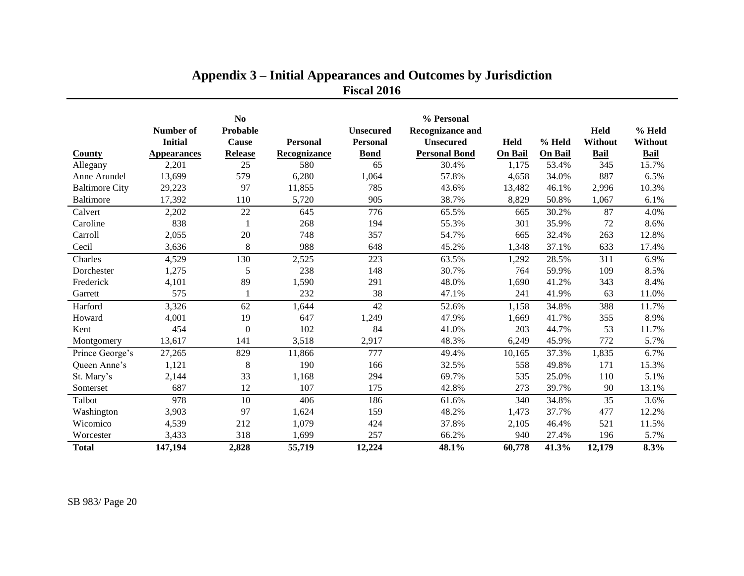|                       | Number of<br><b>Initial</b> | N <sub>0</sub><br>Probable<br><b>Cause</b> | <b>Personal</b> | <b>Unsecured</b><br>Personal | % Personal<br><b>Recognizance and</b><br><b>Unsecured</b> | Held           | % Held         | <b>Held</b><br>Without | % Held<br>Without |
|-----------------------|-----------------------------|--------------------------------------------|-----------------|------------------------------|-----------------------------------------------------------|----------------|----------------|------------------------|-------------------|
| <b>County</b>         | <b>Appearances</b>          | <b>Release</b>                             | Recognizance    | <b>Bond</b>                  | <b>Personal Bond</b>                                      | <b>On Bail</b> | <b>On Bail</b> | <b>Bail</b>            | <b>Bail</b>       |
| Allegany              | 2,201                       | 25                                         | 580             | 65                           | 30.4%                                                     | 1,175          | 53.4%          | 345                    | 15.7%             |
| Anne Arundel          | 13,699                      | 579                                        | 6,280           | 1,064                        | 57.8%                                                     | 4,658          | 34.0%          | 887                    | 6.5%              |
| <b>Baltimore City</b> | 29,223                      | 97                                         | 11,855          | 785                          | 43.6%                                                     | 13,482         | 46.1%          | 2,996                  | 10.3%             |
| Baltimore             | 17,392                      | 110                                        | 5,720           | 905                          | 38.7%                                                     | 8,829          | 50.8%          | 1,067                  | 6.1%              |
| Calvert               | 2,202                       | 22                                         | 645             | 776                          | 65.5%                                                     | 665            | 30.2%          | 87                     | 4.0%              |
| Caroline              | 838                         |                                            | 268             | 194                          | 55.3%                                                     | 301            | 35.9%          | 72                     | 8.6%              |
| Carroll               | 2,055                       | 20                                         | 748             | 357                          | 54.7%                                                     | 665            | 32.4%          | 263                    | 12.8%             |
| Cecil                 | 3,636                       | 8                                          | 988             | 648                          | 45.2%                                                     | 1,348          | 37.1%          | 633                    | 17.4%             |
| Charles               | 4,529                       | 130                                        | 2,525           | 223                          | 63.5%                                                     | 1,292          | 28.5%          | 311                    | 6.9%              |
| Dorchester            | 1,275                       | 5                                          | 238             | 148                          | 30.7%                                                     | 764            | 59.9%          | 109                    | 8.5%              |
| Frederick             | 4,101                       | 89                                         | 1,590           | 291                          | 48.0%                                                     | 1,690          | 41.2%          | 343                    | 8.4%              |
| Garrett               | 575                         |                                            | 232             | 38                           | 47.1%                                                     | 241            | 41.9%          | 63                     | 11.0%             |
| Harford               | 3,326                       | 62                                         | 1,644           | 42                           | 52.6%                                                     | 1,158          | 34.8%          | 388                    | 11.7%             |
| Howard                | 4,001                       | 19                                         | 647             | 1,249                        | 47.9%                                                     | 1,669          | 41.7%          | 355                    | 8.9%              |
| Kent                  | 454                         | $\theta$                                   | 102             | 84                           | 41.0%                                                     | 203            | 44.7%          | 53                     | 11.7%             |
| Montgomery            | 13,617                      | 141                                        | 3,518           | 2,917                        | 48.3%                                                     | 6,249          | 45.9%          | 772                    | 5.7%              |
| Prince George's       | 27,265                      | 829                                        | 11,866          | 777                          | 49.4%                                                     | 10,165         | 37.3%          | 1,835                  | 6.7%              |
| Queen Anne's          | 1,121                       | 8                                          | 190             | 166                          | 32.5%                                                     | 558            | 49.8%          | 171                    | 15.3%             |
| St. Mary's            | 2,144                       | 33                                         | 1,168           | 294                          | 69.7%                                                     | 535            | 25.0%          | 110                    | 5.1%              |
| Somerset              | 687                         | 12                                         | 107             | 175                          | 42.8%                                                     | 273            | 39.7%          | 90                     | 13.1%             |
| Talbot                | 978                         | 10                                         | 406             | 186                          | 61.6%                                                     | 340            | 34.8%          | 35                     | 3.6%              |
| Washington            | 3,903                       | 97                                         | 1,624           | 159                          | 48.2%                                                     | 1,473          | 37.7%          | 477                    | 12.2%             |
| Wicomico              | 4,539                       | 212                                        | 1,079           | 424                          | 37.8%                                                     | 2,105          | 46.4%          | 521                    | 11.5%             |
| Worcester             | 3,433                       | 318                                        | 1,699           | 257                          | 66.2%                                                     | 940            | 27.4%          | 196                    | 5.7%              |
| <b>Total</b>          | 147,194                     | 2,828                                      | 55,719          | 12,224                       | 48.1%                                                     | 60,778         | 41.3%          | 12,179                 | 8.3%              |

# **Appendix 3 – Initial Appearances and Outcomes by Jurisdiction Fiscal 2016**